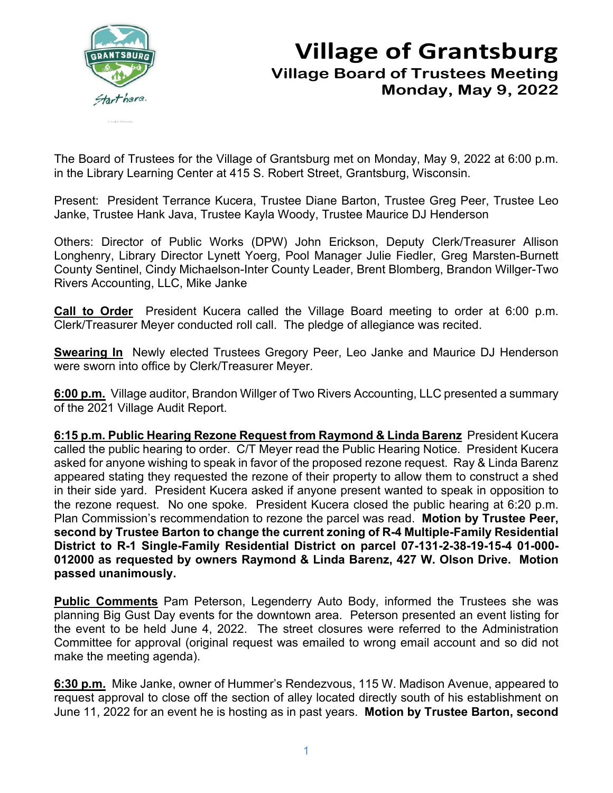

## **Village of Grantsburg Village Board of Trustees Meeting Monday, May 9, 2022**

The Board of Trustees for the Village of Grantsburg met on Monday, May 9, 2022 at 6:00 p.m. in the Library Learning Center at 415 S. Robert Street, Grantsburg, Wisconsin.

Present: President Terrance Kucera, Trustee Diane Barton, Trustee Greg Peer, Trustee Leo Janke, Trustee Hank Java, Trustee Kayla Woody, Trustee Maurice DJ Henderson

Others: Director of Public Works (DPW) John Erickson, Deputy Clerk/Treasurer Allison Longhenry, Library Director Lynett Yoerg, Pool Manager Julie Fiedler, Greg Marsten-Burnett County Sentinel, Cindy Michaelson-Inter County Leader, Brent Blomberg, Brandon Willger-Two Rivers Accounting, LLC, Mike Janke

**Call to Order** President Kucera called the Village Board meeting to order at 6:00 p.m. Clerk/Treasurer Meyer conducted roll call. The pledge of allegiance was recited.

**Swearing In** Newly elected Trustees Gregory Peer, Leo Janke and Maurice DJ Henderson were sworn into office by Clerk/Treasurer Meyer.

**6:00 p.m.** Village auditor, Brandon Willger of Two Rivers Accounting, LLC presented a summary of the 2021 Village Audit Report.

**6:15 p.m. Public Hearing Rezone Request from Raymond & Linda Barenz** President Kucera called the public hearing to order. C/T Meyer read the Public Hearing Notice. President Kucera asked for anyone wishing to speak in favor of the proposed rezone request. Ray & Linda Barenz appeared stating they requested the rezone of their property to allow them to construct a shed in their side yard. President Kucera asked if anyone present wanted to speak in opposition to the rezone request. No one spoke. President Kucera closed the public hearing at 6:20 p.m. Plan Commission's recommendation to rezone the parcel was read. **Motion by Trustee Peer, second by Trustee Barton to change the current zoning of R-4 Multiple-Family Residential District to R-1 Single-Family Residential District on parcel 07-131-2-38-19-15-4 01-000- 012000 as requested by owners Raymond & Linda Barenz, 427 W. Olson Drive. Motion passed unanimously.**

**Public Comments** Pam Peterson, Legenderry Auto Body, informed the Trustees she was planning Big Gust Day events for the downtown area. Peterson presented an event listing for the event to be held June 4, 2022. The street closures were referred to the Administration Committee for approval (original request was emailed to wrong email account and so did not make the meeting agenda).

**6:30 p.m.** Mike Janke, owner of Hummer's Rendezvous, 115 W. Madison Avenue, appeared to request approval to close off the section of alley located directly south of his establishment on June 11, 2022 for an event he is hosting as in past years. **Motion by Trustee Barton, second**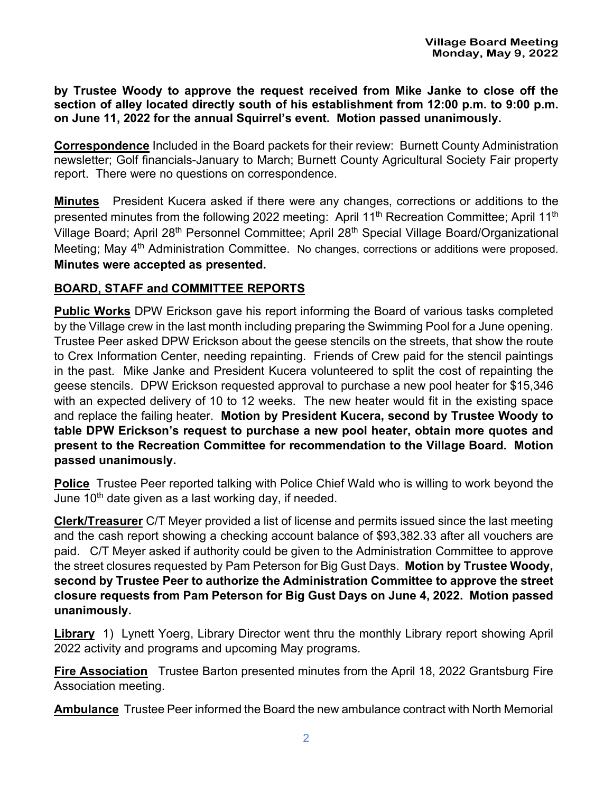**by Trustee Woody to approve the request received from Mike Janke to close off the section of alley located directly south of his establishment from 12:00 p.m. to 9:00 p.m. on June 11, 2022 for the annual Squirrel's event. Motion passed unanimously.**

**Correspondence** Included in the Board packets for their review: Burnett County Administration newsletter; Golf financials-January to March; Burnett County Agricultural Society Fair property report. There were no questions on correspondence.

**Minutes** President Kucera asked if there were any changes, corrections or additions to the presented minutes from the following 2022 meeting: April 11<sup>th</sup> Recreation Committee; April 11<sup>th</sup> Village Board; April 28<sup>th</sup> Personnel Committee; April 28<sup>th</sup> Special Village Board/Organizational Meeting; May 4<sup>th</sup> Administration Committee. No changes, corrections or additions were proposed. **Minutes were accepted as presented.**

## **BOARD, STAFF and COMMITTEE REPORTS**

**Public Works** DPW Erickson gave his report informing the Board of various tasks completed by the Village crew in the last month including preparing the Swimming Pool for a June opening. Trustee Peer asked DPW Erickson about the geese stencils on the streets, that show the route to Crex Information Center, needing repainting. Friends of Crew paid for the stencil paintings in the past. Mike Janke and President Kucera volunteered to split the cost of repainting the geese stencils. DPW Erickson requested approval to purchase a new pool heater for \$15,346 with an expected delivery of 10 to 12 weeks. The new heater would fit in the existing space and replace the failing heater. **Motion by President Kucera, second by Trustee Woody to table DPW Erickson's request to purchase a new pool heater, obtain more quotes and present to the Recreation Committee for recommendation to the Village Board. Motion passed unanimously.**

**Police** Trustee Peer reported talking with Police Chief Wald who is willing to work beyond the June  $10<sup>th</sup>$  date given as a last working day, if needed.

**Clerk/Treasurer** C/T Meyer provided a list of license and permits issued since the last meeting and the cash report showing a checking account balance of \$93,382.33 after all vouchers are paid. C/T Meyer asked if authority could be given to the Administration Committee to approve the street closures requested by Pam Peterson for Big Gust Days. **Motion by Trustee Woody, second by Trustee Peer to authorize the Administration Committee to approve the street closure requests from Pam Peterson for Big Gust Days on June 4, 2022. Motion passed unanimously.**

**Library** 1) Lynett Yoerg, Library Director went thru the monthly Library report showing April 2022 activity and programs and upcoming May programs.

**Fire Association** Trustee Barton presented minutes from the April 18, 2022 Grantsburg Fire Association meeting.

**Ambulance** Trustee Peer informed the Board the new ambulance contract with North Memorial